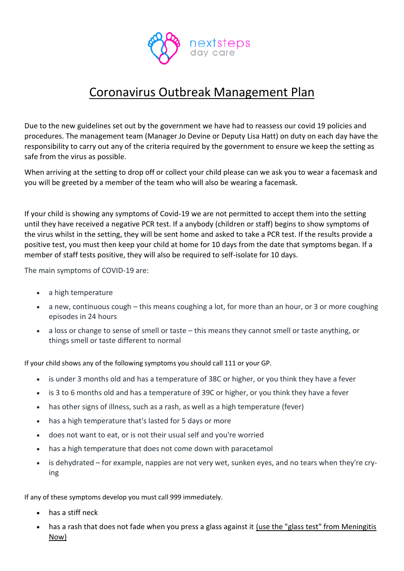

## Coronavirus Outbreak Management Plan

Due to the new guidelines set out by the government we have had to reassess our covid 19 policies and procedures. The management team (Manager Jo Devine or Deputy Lisa Hatt) on duty on each day have the responsibility to carry out any of the criteria required by the government to ensure we keep the setting as safe from the virus as possible.

When arriving at the setting to drop off or collect your child please can we ask you to wear a facemask and you will be greeted by a member of the team who will also be wearing a facemask.

If your child is showing any symptoms of Covid-19 we are not permitted to accept them into the setting until they have received a negative PCR test. If a anybody (children or staff) begins to show symptoms of the virus whilst in the setting, they will be sent home and asked to take a PCR test. If the results provide a positive test, you must then keep your child at home for 10 days from the date that symptoms began. If a member of staff tests positive, they will also be required to self-isolate for 10 days.

The main symptoms of COVID-19 are:

- a high temperature
- a new, continuous cough this means coughing a lot, for more than an hour, or 3 or more coughing episodes in 24 hours
- a loss or change to sense of smell or taste this means they cannot smell or taste anything, or things smell or taste different to normal

If your child shows any of the following symptoms you should call 111 or your GP.

- is under 3 months old and has a temperature of 38C or higher, or you think they have a fever
- is 3 to 6 months old and has a temperature of 39C or higher, or you think they have a fever
- has other signs of illness, such as a rash, as well as a high temperature (fever)
- has a high temperature that's lasted for 5 days or more
- does not want to eat, or is not their usual self and you're worried
- has a high temperature that does not come down with paracetamol
- is dehydrated for example, nappies are not very wet, sunken eyes, and no tears when they're crying

If any of these symptoms develop you must call 999 immediately.

- has a stiff neck
- has a rash that does not fade when you press a glass against it [\(use the "glass test" from Meningitis](https://www.meningitisnow.org/meningitis-explained/signs-and-symptoms/glass-test/?gclid=CJWh-aLL8s0CFcE_GwodT4ALcg)  [Now\)](https://www.meningitisnow.org/meningitis-explained/signs-and-symptoms/glass-test/?gclid=CJWh-aLL8s0CFcE_GwodT4ALcg)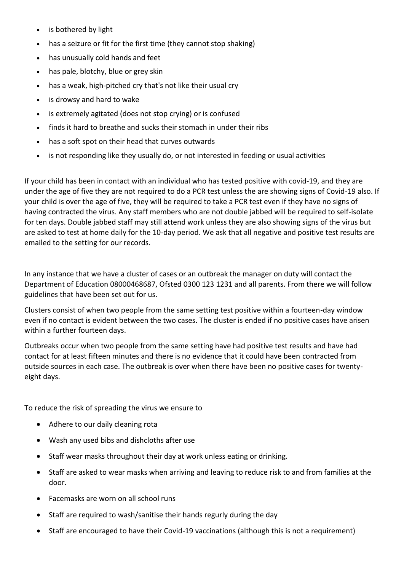- is bothered by light
- has a seizure or fit for the first time (they cannot stop shaking)
- has unusually cold hands and feet
- has pale, blotchy, blue or grey skin
- has a weak, high-pitched cry that's not like their usual cry
- is drowsy and hard to wake
- is extremely agitated (does not stop crying) or is confused
- finds it hard to breathe and sucks their stomach in under their ribs
- has a soft spot on their head that curves outwards
- is not responding like they usually do, or not interested in feeding or usual activities

If your child has been in contact with an individual who has tested positive with covid-19, and they are under the age of five they are not required to do a PCR test unless the are showing signs of Covid-19 also. If your child is over the age of five, they will be required to take a PCR test even if they have no signs of having contracted the virus. Any staff members who are not double jabbed will be required to self-isolate for ten days. Double jabbed staff may still attend work unless they are also showing signs of the virus but are asked to test at home daily for the 10-day period. We ask that all negative and positive test results are emailed to the setting for our records.

In any instance that we have a cluster of cases or an outbreak the manager on duty will contact the Department of Education 08000468687, Ofsted 0300 123 1231 and all parents. From there we will follow guidelines that have been set out for us.

Clusters consist of when two people from the same setting test positive within a fourteen-day window even if no contact is evident between the two cases. The cluster is ended if no positive cases have arisen within a further fourteen days.

Outbreaks occur when two people from the same setting have had positive test results and have had contact for at least fifteen minutes and there is no evidence that it could have been contracted from outside sources in each case. The outbreak is over when there have been no positive cases for twentyeight days.

To reduce the risk of spreading the virus we ensure to

- Adhere to our daily cleaning rota
- Wash any used bibs and dishcloths after use
- Staff wear masks throughout their day at work unless eating or drinking.
- Staff are asked to wear masks when arriving and leaving to reduce risk to and from families at the door.
- Facemasks are worn on all school runs
- Staff are required to wash/sanitise their hands regurly during the day
- Staff are encouraged to have their Covid-19 vaccinations (although this is not a requirement)